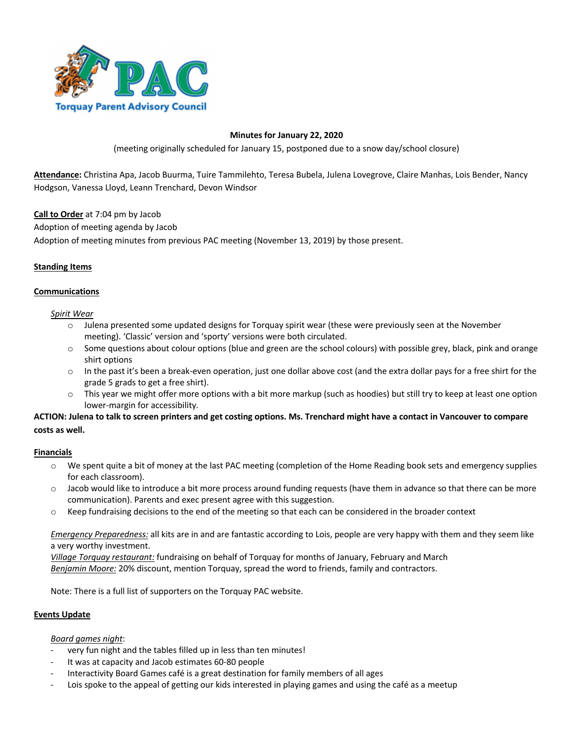

### **Minutes for January 22, 2020**

(meeting originally scheduled for January 15, postponed due to a snow day/school closure)

**Attendance:** Christina Apa, Jacob Buurma, Tuire Tammilehto, Teresa Bubela, Julena Lovegrove, Claire Manhas, Lois Bender, Nancy Hodgson, Vanessa Lloyd, Leann Trenchard, Devon Windsor

**Call to Order** at 7:04 pm by Jacob

Adoption of meeting agenda by Jacob

Adoption of meeting minutes from previous PAC meeting (November 13, 2019) by those present.

### **Standing Items**

#### **Communications**

#### *Spirit Wear*

- o Julena presented some updated designs for Torquay spirit wear (these were previously seen at the November meeting). 'Classic' version and 'sporty' versions were both circulated.
- $\circ$  Some questions about colour options (blue and green are the school colours) with possible grey, black, pink and orange shirt options
- $\circ$  In the past it's been a break-even operation, just one dollar above cost (and the extra dollar pays for a free shirt for the grade 5 grads to get a free shirt).
- o This year we might offer more options with a bit more markup (such as hoodies) but still try to keep at least one option lower-margin for accessibility.

# **ACTION: Julena to talk to screen printers and get costing options. Ms. Trenchard might have a contact in Vancouver to compare costs as well.**

#### **Financials**

- $\circ$  We spent quite a bit of money at the last PAC meeting (completion of the Home Reading book sets and emergency supplies for each classroom).
- o Jacob would like to introduce a bit more process around funding requests (have them in advance so that there can be more communication). Parents and exec present agree with this suggestion.
- o Keep fundraising decisions to the end of the meeting so that each can be considered in the broader context

*Emergency Preparedness:* all kits are in and are fantastic according to Lois, people are very happy with them and they seem like a very worthy investment.

*Village Torquay restaurant:* fundraising on behalf of Torquay for months of January, February and March *Benjamin Moore:* 20% discount, mention Torquay, spread the word to friends, family and contractors.

Note: There is a full list of supporters on the Torquay PAC website.

#### **Events Update**

#### *Board games night*:

- very fun night and the tables filled up in less than ten minutes!
- It was at capacity and Jacob estimates 60-80 people
- Interactivity Board Games café is a great destination for family members of all ages
- Lois spoke to the appeal of getting our kids interested in playing games and using the café as a meetup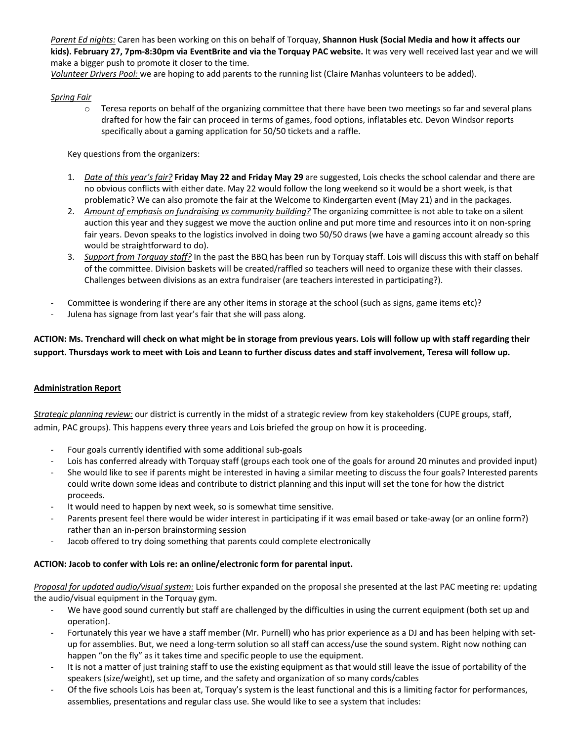*Parent Ed nights:* Caren has been working on this on behalf of Torquay, **Shannon Husk (Social Media and how it affects our kids). February 27, 7pm-8:30pm via EventBrite and via the Torquay PAC website.** It was very well received last year and we will make a bigger push to promote it closer to the time.

*Volunteer Drivers Pool:* we are hoping to add parents to the running list (Claire Manhas volunteers to be added).

## *Spring Fair*

 $\circ$  Teresa reports on behalf of the organizing committee that there have been two meetings so far and several plans drafted for how the fair can proceed in terms of games, food options, inflatables etc. Devon Windsor reports specifically about a gaming application for 50/50 tickets and a raffle.

Key questions from the organizers:

- 1. *Date of this year's fair?* **Friday May 22 and Friday May 29** are suggested, Lois checks the school calendar and there are no obvious conflicts with either date. May 22 would follow the long weekend so it would be a short week, is that problematic? We can also promote the fair at the Welcome to Kindergarten event (May 21) and in the packages.
- 2. *Amount of emphasis on fundraising vs community building?* The organizing committee is not able to take on a silent auction this year and they suggest we move the auction online and put more time and resources into it on non-spring fair years. Devon speaks to the logistics involved in doing two 50/50 draws (we have a gaming account already so this would be straightforward to do).
- 3. *Support from Torquay staff?* In the past the BBQ has been run by Torquay staff. Lois will discuss this with staff on behalf of the committee. Division baskets will be created/raffled so teachers will need to organize these with their classes. Challenges between divisions as an extra fundraiser (are teachers interested in participating?).
- Committee is wondering if there are any other items in storage at the school (such as signs, game items etc)?
- Julena has signage from last year's fair that she will pass along.

**ACTION: Ms. Trenchard will check on what might be in storage from previous years. Lois will follow up with staff regarding their support. Thursdays work to meet with Lois and Leann to further discuss dates and staff involvement, Teresa will follow up.**

#### **Administration Report**

*Strategic planning review:* our district is currently in the midst of a strategic review from key stakeholders (CUPE groups, staff, admin, PAC groups). This happens every three years and Lois briefed the group on how it is proceeding.

- Four goals currently identified with some additional sub-goals
- Lois has conferred already with Torquay staff (groups each took one of the goals for around 20 minutes and provided input)
- She would like to see if parents might be interested in having a similar meeting to discuss the four goals? Interested parents could write down some ideas and contribute to district planning and this input will set the tone for how the district proceeds.
- It would need to happen by next week, so is somewhat time sensitive.
- Parents present feel there would be wider interest in participating if it was email based or take-away (or an online form?) rather than an in-person brainstorming session
- Jacob offered to try doing something that parents could complete electronically

# **ACTION: Jacob to confer with Lois re: an online/electronic form for parental input.**

*Proposal for updated audio/visual system:* Lois further expanded on the proposal she presented at the last PAC meeting re: updating the audio/visual equipment in the Torquay gym.

- We have good sound currently but staff are challenged by the difficulties in using the current equipment (both set up and operation).
- Fortunately this year we have a staff member (Mr. Purnell) who has prior experience as a DJ and has been helping with setup for assemblies. But, we need a long-term solution so all staff can access/use the sound system. Right now nothing can happen "on the fly" as it takes time and specific people to use the equipment.
- It is not a matter of just training staff to use the existing equipment as that would still leave the issue of portability of the speakers (size/weight), set up time, and the safety and organization of so many cords/cables
- Of the five schools Lois has been at, Torquay's system is the least functional and this is a limiting factor for performances, assemblies, presentations and regular class use. She would like to see a system that includes: